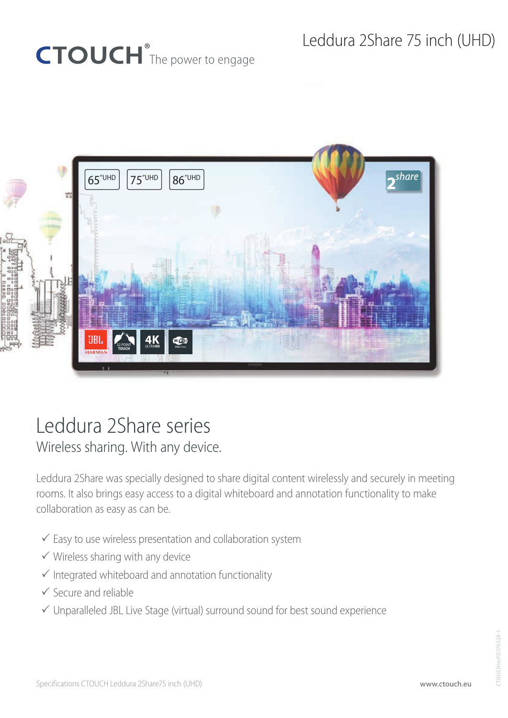# CTOUCH<sup>®</sup>The power to engage



## Leddura 2Share series

Wireless sharing. With any device.

Leddura 2Share was specially designed to share digital content wirelessly and securely in meeting rooms. It also brings easy access to a digital whiteboard and annotation functionality to make collaboration as easy as can be.

- $\checkmark$  Easy to use wireless presentation and collaboration system
- $\checkmark$  Wireless sharing with any device
- $\checkmark$  Integrated whiteboard and annotation functionality
- $\checkmark$  Secure and reliable
- $\checkmark$  Unparalleled JBL Live Stage (virtual) surround sound for best sound experience